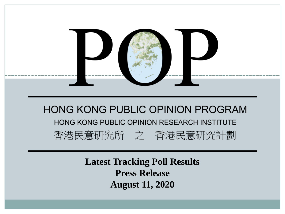

**Latest Tracking Poll Results Press Release August 11, 2020**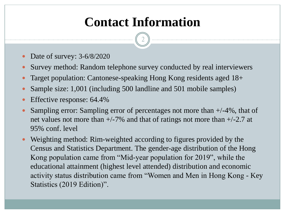# **Contact Information**

- Date of survey: 3-6/8/2020
- Survey method: Random telephone survey conducted by real interviewers
- Target population: Cantonese-speaking Hong Kong residents aged 18+
- Sample size: 1,001 (including 500 landline and 501 mobile samples)
- Effective response: 64.4%
- Sampling error: Sampling error of percentages not more than +/-4%, that of net values not more than  $+/-7\%$  and that of ratings not more than  $+/-2.7$  at 95% conf. level
- Weighting method: Rim-weighted according to figures provided by the Census and Statistics Department. The gender-age distribution of the Hong Kong population came from "Mid-year population for 2019", while the educational attainment (highest level attended) distribution and economic activity status distribution came from "Women and Men in Hong Kong - Key Statistics (2019 Edition)".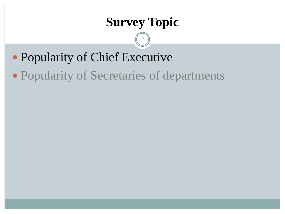## **Survey Topic**

- Popularity of Chief Executive
- Popularity of Secretaries of departments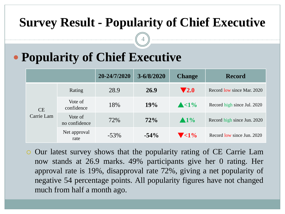### **Survey Result - Popularity of Chief Executive**

4

# **Popularity of Chief Executive**

|                  |                          | 20-24/7/2020 | $3 - 6/8/2020$ | <b>Change</b>             | <b>Record</b>               |  |  |  |
|------------------|--------------------------|--------------|----------------|---------------------------|-----------------------------|--|--|--|
| CE<br>Carrie Lam | Rating                   | 28.9         | 26.9           | $\blacktriangledown 2.0$  | Record low since Mar. 2020  |  |  |  |
|                  | Vote of<br>confidence    | 18%          | 19%            | $\triangle$ <1%           | Record high since Jul. 2020 |  |  |  |
|                  | Vote of<br>no confidence | 72%          | 72%            | $\blacktriangle 1\%$      | Record high since Jun. 2020 |  |  |  |
|                  | Net approval<br>rate     | $-53\%$      | $-54\%$        | $\blacktriangledown$ < 1% | Record low since Jun. 2020  |  |  |  |

 Our latest survey shows that the popularity rating of CE Carrie Lam now stands at 26.9 marks. 49% participants give her 0 rating. Her approval rate is 19%, disapproval rate 72%, giving a net popularity of negative 54 percentage points. All popularity figures have not changed much from half a month ago.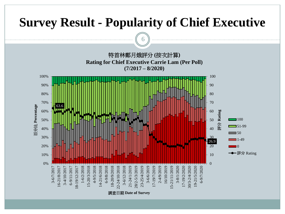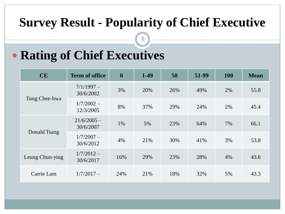## **Survey Result - Popularity of Chief Executive**

8

# **Rating of Chief Executives**

| CE              | <b>Term of office</b>      | $\boldsymbol{0}$ | $1-49$ | 50  | 51-99 | <b>100</b> | <b>Mean</b> |
|-----------------|----------------------------|------------------|--------|-----|-------|------------|-------------|
| Tung Chee-hwa   | $7/1/1997-$<br>30/6/2002   | 3%               | 20%    | 26% | 49%   | 2%         | 55.8        |
|                 | $1/7/2002 -$<br>12/3/2005  | 8%               | 37%    | 29% | 24%   | 2%         | 45.4        |
| Donald Tsang    | $21/6/2005 -$<br>30/6/2007 | 1%               | 5%     | 23% | 64%   | 7%         | 66.1        |
|                 | $1/7/2007 -$<br>30/6/2012  | 4%               | 21%    | 30% | 41%   | 3%         | 53.8        |
| Leung Chun-ying | $1/7/2012 -$<br>30/6/2017  | 16%              | 29%    | 23% | 28%   | 4%         | 43.6        |
| Carrie Lam      | $1/7/2017-$                | 24%              | 21%    | 18% | 32%   | 5%         | 43.3        |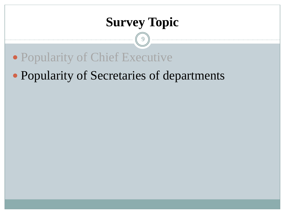## **Survey Topic**

 $\mathbf Q$ 

Popularity of Chief Executive

#### Popularity of Secretaries of departments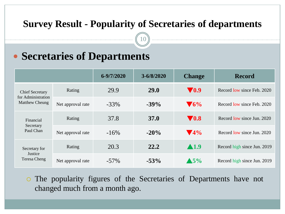#### **Survey Result - Popularity of Secretaries of departments**

10

#### **Secretaries of Departments**

|                                                                |                   | 6-9/7/2020 | $3 - 6/8/2020$ | <b>Change</b>            | <b>Record</b>               |  |  |  |
|----------------------------------------------------------------|-------------------|------------|----------------|--------------------------|-----------------------------|--|--|--|
| <b>Chief Secretary</b><br>for Administration<br>Matthew Cheung | Rating            | 29.9       | <b>29.0</b>    | <b>70.9</b>              | Record low since Feb. 2020  |  |  |  |
|                                                                | Net approval rate | $-33%$     | $-39\%$        | $\blacktriangledown_6\%$ | Record low since Feb. 2020  |  |  |  |
| Financial<br>Secretary<br>Paul Chan                            | Rating            | 37.8       | <b>37.0</b>    | $\blacktriangledown 0.8$ | Record low since Jun. 2020  |  |  |  |
|                                                                | Net approval rate | $-16\%$    | $-20\%$        | $\blacktriangledown$ 4%  | Record low since Jun. 2020  |  |  |  |
| Secretary for<br>Justice<br>Teresa Cheng                       | Rating            | 20.3       | 22.2           | $\blacktriangle$ 1.9     | Record high since Jun. 2019 |  |  |  |
|                                                                | Net approval rate | $-57\%$    | $-53%$         | $\blacktriangle$ 5%      | Record high since Jun. 2019 |  |  |  |

 The popularity figures of the Secretaries of Departments have not changed much from a month ago.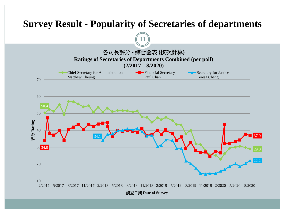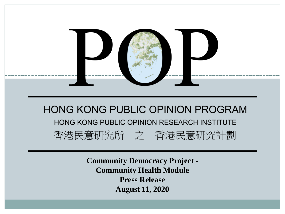

**Community Democracy Project - Community Health Module Press Release August 11, 2020**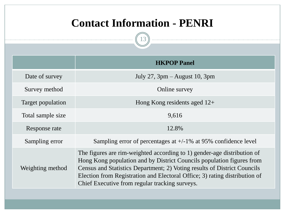#### **Contact Information - PENRI**

|                   | <b>HKPOP Panel</b>                                                                                                                                                                                                                                                                                                                                           |  |  |  |  |  |  |  |
|-------------------|--------------------------------------------------------------------------------------------------------------------------------------------------------------------------------------------------------------------------------------------------------------------------------------------------------------------------------------------------------------|--|--|--|--|--|--|--|
| Date of survey    | July 27, $3pm -$ August 10, $3pm$                                                                                                                                                                                                                                                                                                                            |  |  |  |  |  |  |  |
| Survey method     | Online survey                                                                                                                                                                                                                                                                                                                                                |  |  |  |  |  |  |  |
| Target population | Hong Kong residents aged $12+$                                                                                                                                                                                                                                                                                                                               |  |  |  |  |  |  |  |
| Total sample size | 9,616                                                                                                                                                                                                                                                                                                                                                        |  |  |  |  |  |  |  |
| Response rate     | 12.8%                                                                                                                                                                                                                                                                                                                                                        |  |  |  |  |  |  |  |
| Sampling error    | Sampling error of percentages at $+/-1\%$ at 95% confidence level                                                                                                                                                                                                                                                                                            |  |  |  |  |  |  |  |
| Weighting method  | The figures are rim-weighted according to 1) gender-age distribution of<br>Hong Kong population and by District Councils population figures from<br>Census and Statistics Department; 2) Voting results of District Councils<br>Election from Registration and Electoral Office; 3) rating distribution of<br>Chief Executive from regular tracking surveys. |  |  |  |  |  |  |  |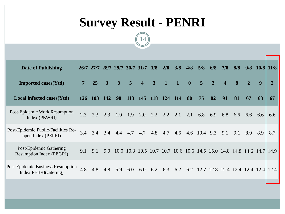# **Survey Result - PENRI**

| <b>Date of Publishing</b>                                         |            | 26/7 27/7  |     | 28/7 29/7 30/7 31/7 |                |                | 1/8            | 2/8             | 3/8                                                              | 4/8          | 5/8              | 6/8 | 7/8                               | 8/8 | 9/8            |     | $10/8$ 11/8 |
|-------------------------------------------------------------------|------------|------------|-----|---------------------|----------------|----------------|----------------|-----------------|------------------------------------------------------------------|--------------|------------------|-----|-----------------------------------|-----|----------------|-----|-------------|
| <b>Imported cases(Ytd)</b>                                        |            | 25         | 3   | 8                   | $\overline{5}$ | $\overline{4}$ | $\overline{3}$ | $\mathbf{1}$    | $\blacksquare$                                                   | $\mathbf{0}$ | $\overline{5}$   | 3   | $\overline{\mathbf{4}}$           | 8   | $\overline{2}$ | 9   | 2           |
| Local infected cases(Ytd)                                         | <b>126</b> | <b>103</b> | 142 | 98                  | <b>113</b>     | 145            | <b>118</b>     | <b>124</b>      | <b>114</b>                                                       | 80           | 75               | 82  | 91                                | 81  | 67             | 63  | 67          |
| Post-Epidemic Work Resumption<br>Index (PEWRI)                    | 2.3        | 2.3        | 2.3 | 1.9                 | 1.9            | 2.0            |                | $2.2 \quad 2.2$ | 2.1                                                              | 2.1          | 6.8 6.9          |     | 6.8                               | 6.6 | 6.6            | 6.6 | 6.6         |
| Post-Epidemic Public-Facilities Re-<br>open Index (PEPRI)         | 3.4        | 3.4        | 3.4 | 4.4                 | 4.7            | 4.7            | 4.8            | 4.7             |                                                                  |              | 4.6 4.6 10.4 9.3 |     | 9.1                               | 9.1 | 8.9            | 8.9 | 8.7         |
| Post-Epidemic Gathering<br><b>Resumption Index (PEGRI)</b>        | 9.1        | 9.1        | 9.0 |                     |                |                |                |                 | 10.0 10.3 10.5 10.7 10.7 10.6 10.6 14.5 15.0 14.8 14.8 14.6 14.7 |              |                  |     |                                   |     |                |     | 14.9        |
| <b>Post-Epidemic Business Resumption</b><br>Index PEBRI(catering) | 4.8        | 4.8        | 4.8 | 5.9                 | 6.0            | 6.0            | 6.2            | 6.3             | 6.2                                                              |              |                  |     | 6.2 12.7 12.8 12.4 12.4 12.4 12.4 |     |                |     | 12.4        |
|                                                                   |            |            |     |                     |                |                |                |                 |                                                                  |              |                  |     |                                   |     |                |     |             |